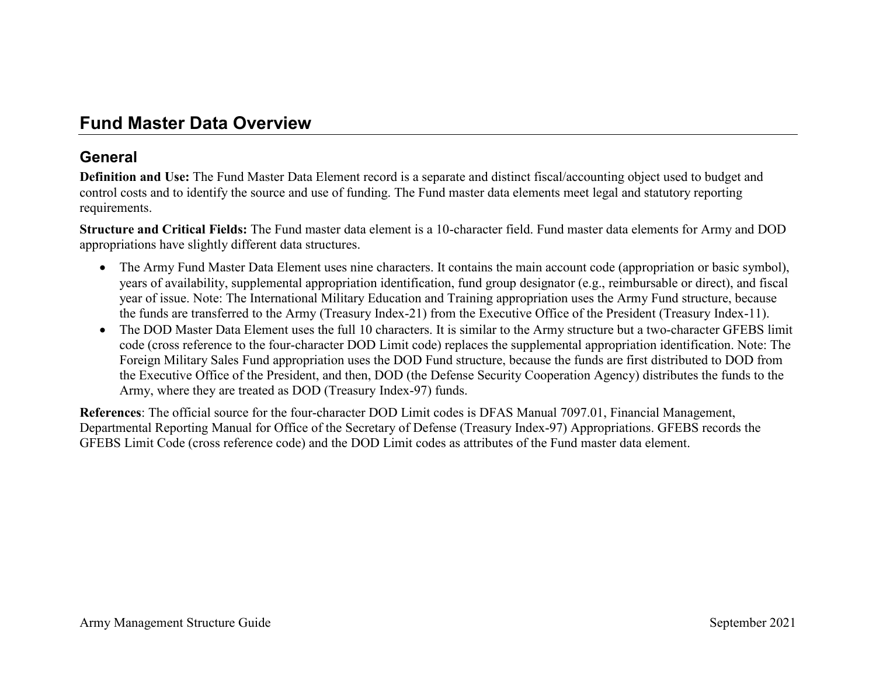# **Fund Master Data Overview**

### **General**

**Definition and Use:** The Fund Master Data Element record is a separate and distinct fiscal/accounting object used to budget and control costs and to identify the source and use of funding. The Fund master data elements meet legal and statutory reporting requirements.

**Structure and Critical Fields:** The Fund master data element is a 10-character field. Fund master data elements for Army and DOD appropriations have slightly different data structures.

- The Army Fund Master Data Element uses nine characters. It contains the main account code (appropriation or basic symbol), years of availability, supplemental appropriation identification, fund group designator (e.g., reimbursable or direct), and fiscal year of issue. Note: The International Military Education and Training appropriation uses the Army Fund structure, because the funds are transferred to the Army (Treasury Index-21) from the Executive Office of the President (Treasury Index-11).
- The DOD Master Data Element uses the full 10 characters. It is similar to the Army structure but a two-character GFEBS limit code (cross reference to the four-character DOD Limit code) replaces the supplemental appropriation identification. Note: The Foreign Military Sales Fund appropriation uses the DOD Fund structure, because the funds are first distributed to DOD from the Executive Office of the President, and then, DOD (the Defense Security Cooperation Agency) distributes the funds to the Army, where they are treated as DOD (Treasury Index-97) funds.

**References**: The official source for the four-character DOD Limit codes is DFAS Manual 7097.01, Financial Management, Departmental Reporting Manual for Office of the Secretary of Defense (Treasury Index-97) Appropriations. GFEBS records the GFEBS Limit Code (cross reference code) and the DOD Limit codes as attributes of the Fund master data element.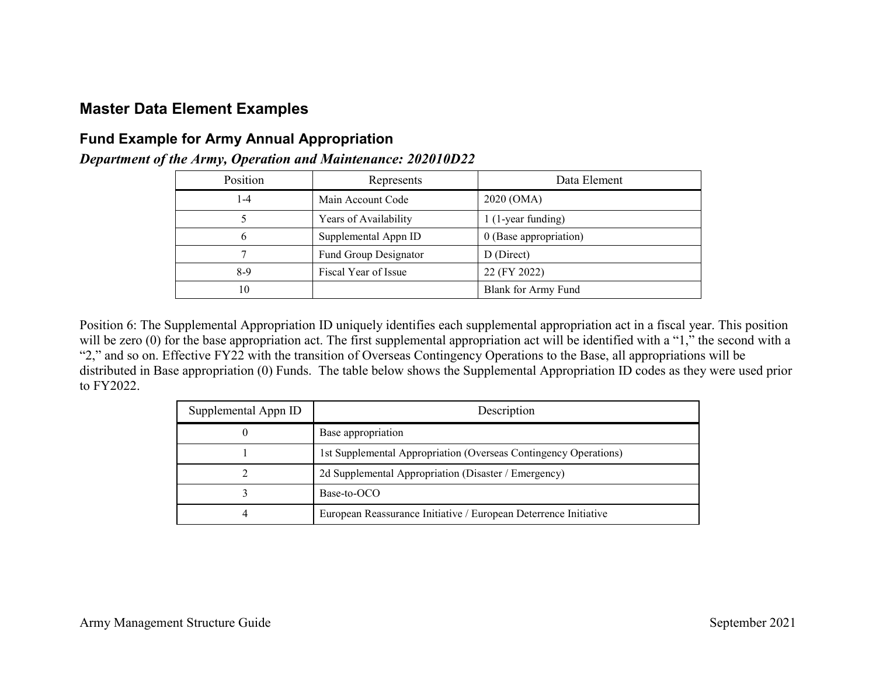## **Master Data Element Examples**

#### **Fund Example for Army Annual Appropriation**

| Position | Represents            | Data Element               |
|----------|-----------------------|----------------------------|
| $1-4$    | Main Account Code     | 2020 (OMA)                 |
|          | Years of Availability | 1 (1-year funding)         |
| 6        | Supplemental Appn ID  | 0 (Base appropriation)     |
|          | Fund Group Designator | D (Direct)                 |
| $8-9$    | Fiscal Year of Issue  | 22 (FY 2022)               |
| 10       |                       | <b>Blank for Army Fund</b> |

*Department of the Army, Operation and Maintenance: 202010D22*

Position 6: The Supplemental Appropriation ID uniquely identifies each supplemental appropriation act in a fiscal year. This position will be zero (0) for the base appropriation act. The first supplemental appropriation act will be identified with a "1," the second with a "2," and so on. Effective FY22 with the transition of Overseas Contingency Operations to the Base, all appropriations will be distributed in Base appropriation (0) Funds. The table below shows the Supplemental Appropriation ID codes as they were used prior to FY2022.

| Supplemental Appn ID | Description                                                      |
|----------------------|------------------------------------------------------------------|
|                      | Base appropriation                                               |
|                      | 1st Supplemental Appropriation (Overseas Contingency Operations) |
|                      | 2d Supplemental Appropriation (Disaster / Emergency)             |
|                      | Base-to-OCO                                                      |
|                      | European Reassurance Initiative / European Deterrence Initiative |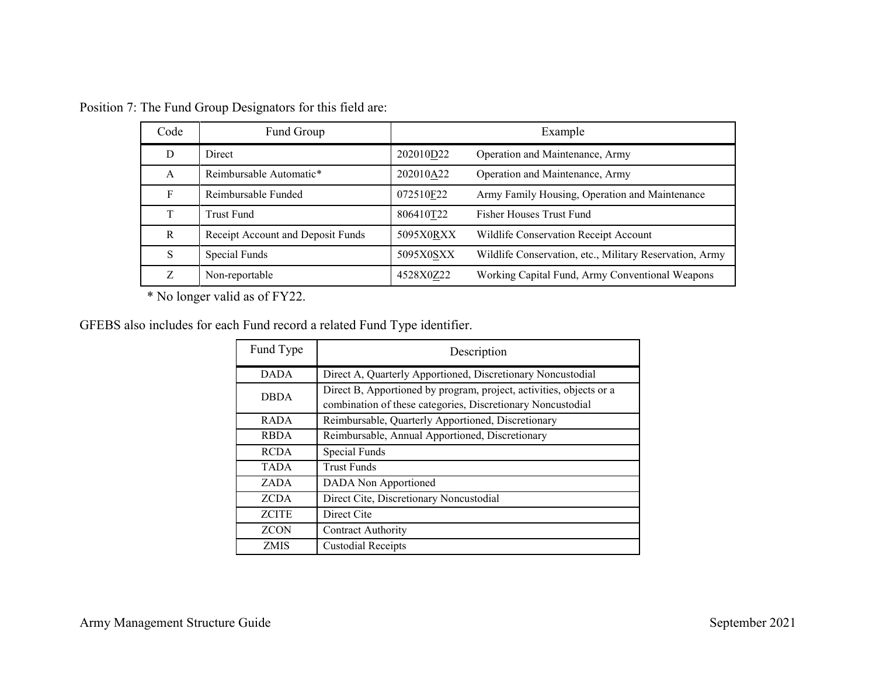| Code | Fund Group                        |           | Example                                                 |
|------|-----------------------------------|-----------|---------------------------------------------------------|
| D    | Direct                            | 202010D22 | Operation and Maintenance, Army                         |
| A    | Reimbursable Automatic*           | 202010A22 | Operation and Maintenance, Army                         |
| F    | Reimbursable Funded               | 072510F22 | Army Family Housing, Operation and Maintenance          |
| T    | Trust Fund                        | 806410T22 | Fisher Houses Trust Fund                                |
| R    | Receipt Account and Deposit Funds | 5095X0RXX | Wildlife Conservation Receipt Account                   |
| S    | Special Funds                     | 5095X0SXX | Wildlife Conservation, etc., Military Reservation, Army |
| Z.   | Non-reportable                    | 4528X0Z22 | Working Capital Fund, Army Conventional Weapons         |

Position 7: The Fund Group Designators for this field are:

\* No longer valid as of FY22.

GFEBS also includes for each Fund record a related Fund Type identifier.

| Fund Type    | Description                                                                                                                        |
|--------------|------------------------------------------------------------------------------------------------------------------------------------|
| <b>DADA</b>  | Direct A, Quarterly Apportioned, Discretionary Noncustodial                                                                        |
| <b>DBDA</b>  | Direct B, Apportioned by program, project, activities, objects or a<br>combination of these categories, Discretionary Noncustodial |
| <b>RADA</b>  | Reimbursable, Quarterly Apportioned, Discretionary                                                                                 |
| <b>RBDA</b>  | Reimbursable, Annual Apportioned, Discretionary                                                                                    |
| <b>RCDA</b>  | Special Funds                                                                                                                      |
| <b>TADA</b>  | <b>Trust Funds</b>                                                                                                                 |
| ZADA         | DADA Non Apportioned                                                                                                               |
| <b>ZCDA</b>  | Direct Cite, Discretionary Noncustodial                                                                                            |
| <b>ZCITE</b> | Direct Cite                                                                                                                        |
| <b>ZCON</b>  | Contract Authority                                                                                                                 |
| <b>ZMIS</b>  | <b>Custodial Receipts</b>                                                                                                          |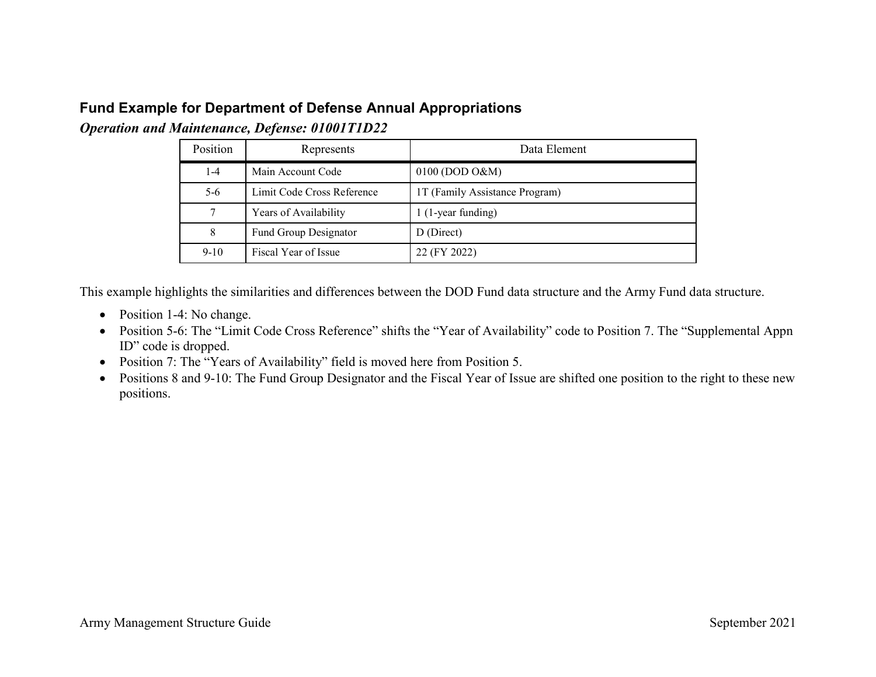## **Fund Example for Department of Defense Annual Appropriations**

*Operation and Maintenance, Defense: 01001T1D22*

| Position | Represents                 | Data Element                   |
|----------|----------------------------|--------------------------------|
| $1-4$    | Main Account Code          | $0100$ (DOD O&M)               |
| $5-6$    | Limit Code Cross Reference | 1T (Family Assistance Program) |
|          | Years of Availability      | 1 (1-year funding)             |
| 8        | Fund Group Designator      | D (Direct)                     |
| $9 - 10$ | Fiscal Year of Issue       | 22 (FY 2022)                   |

This example highlights the similarities and differences between the DOD Fund data structure and the Army Fund data structure.

- Position 1-4: No change.
- Position 5-6: The "Limit Code Cross Reference" shifts the "Year of Availability" code to Position 7. The "Supplemental Appn ID" code is dropped.
- Position 7: The "Years of Availability" field is moved here from Position 5.
- Positions 8 and 9-10: The Fund Group Designator and the Fiscal Year of Issue are shifted one position to the right to these new positions.